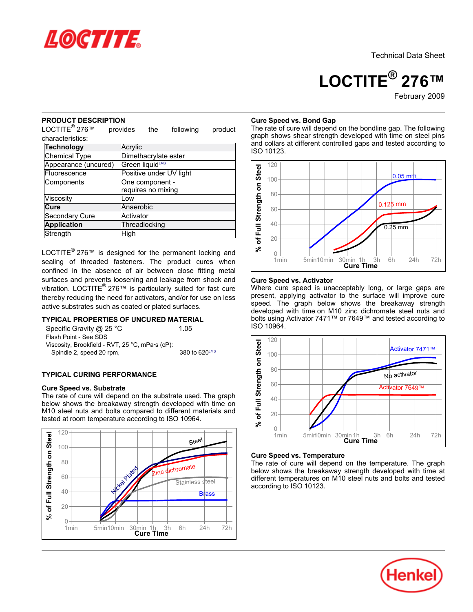

# **LOCTITE® 276™**

February-2009

#### **PRODUCT DESCRIPTION**

LOCTITE<sup>®</sup> 276™ provides the following product characteristics:

| Technology           | Acrylic                 |
|----------------------|-------------------------|
| <b>Chemical Type</b> | Dimethacrylate ester    |
| Appearance (uncured) | Green liquidLMS         |
| Fluorescence         | Positive under UV light |
| Components           | One component -         |
|                      | requires no mixing      |
| Viscosity            | l ow                    |
| Cure                 | Anaerobic               |
| Secondary Cure       | Activator               |
| <b>Application</b>   | Threadlocking           |
| Strength             | High                    |

LOCTITE<sup>®</sup> 276™ is designed for the permanent locking and sealing of threaded fasteners. The product cures when confined in the absence of air between close fitting metal surfaces and prevents loosening and leakage from shock and vibration. LOCTITE<sup>®</sup> 276™ is particularly suited for fast cure thereby reducing the need for activators, and/or for use on less active substrates such as coated or plated surfaces.

# **TYPICAL PROPERTIES OF UNCURED MATERIAL**

Specific Gravity @ 25 °C 1.05 Flash Point - See SDS Viscosity, Brookfield - RVT, 25 °C, mPa·s (cP): Spindle 2, speed 20 rpm, 380 to 620LMS

#### **TYPICAL CURING PERFORMANCE**

#### **Cure Speed vs. Substrate**

The rate of cure will depend on the substrate used. The graph below shows the breakaway strength developed with time on M10 steel nuts and bolts compared to different materials and tested at room temperature according to ISO 10964.



#### **Cure Speed vs. Bond Gap**

The rate of cure will depend on the bondline gap. The following graph shows shear strength developed with time on steel pins and collars at different controlled gaps and tested according to ISO 10123.



#### **Cure Speed vs. Activator**

Where cure speed is unacceptably long, or large gaps are present, applying activator to the surface will improve cure speed. The graph below shows the breakaway strength developed with time on M10 zinc dichromate steel nuts and bolts using Activator 7471™ or 7649™ and tested according to ISO 10964.



#### **Cure Speed vs. Temperature**

The rate of cure will depend on the temperature. The graph below shows the breakaway strength developed with time at different temperatures on M10 steel nuts and bolts and tested according to ISO 10123.

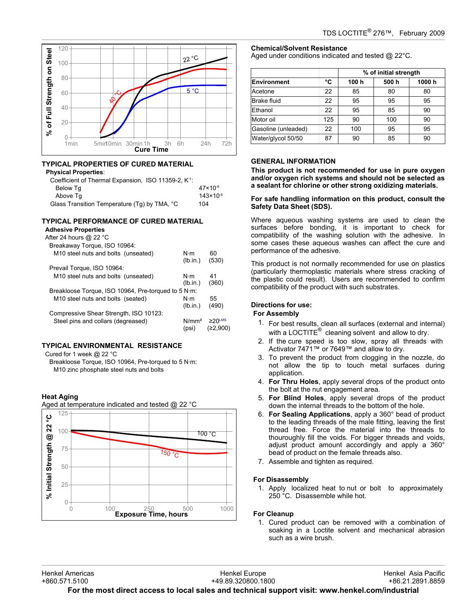

# **TYPICAL PROPERTIES OF CURED MATERIAL**

#### **Physical Properties**:

| Coefficient of Thermal Expansion, ISO 11359-2, K <sup>-1</sup> : |                      |
|------------------------------------------------------------------|----------------------|
| Below Tq                                                         | $47 \times 10^{-6}$  |
| Above Tg                                                         | $143 \times 10^{-6}$ |
| Glass Transition Temperature (Tq) by TMA, °C                     | 104                  |
|                                                                  |                      |

# **TYPICAL PERFORMANCE OF CURED MATERIAL**

# **Adhesive Properties**

| After 24 hours @ 22 °C                              |                            |                                      |
|-----------------------------------------------------|----------------------------|--------------------------------------|
| Breakaway Torque, ISO 10964:                        |                            |                                      |
| M <sub>10</sub> steel nuts and bolts (unseated)     | $N \cdot m$<br>(lb.in.)    | 60<br>(530)                          |
| Prevail Torque, ISO 10964:                          |                            |                                      |
| M <sub>10</sub> steel nuts and bolts (unseated)     | $N \cdot m$                | 41                                   |
|                                                     | (lb.in.)                   | (360)                                |
| Breakloose Torque, ISO 10964, Pre-torqued to 5 N·m: |                            |                                      |
| M <sub>10</sub> steel nuts and bolts (seated)       | $N \cdot m$                | 55                                   |
|                                                     | (lb.in.)                   | (490)                                |
| Compressive Shear Strength, ISO 10123:              |                            |                                      |
| Steel pins and collars (degreased)                  | N/mm <sup>2</sup><br>(psi) | $\geq$ 20 <sup>LMS</sup><br>(≥2.900) |

# **TYPICAL ENVIRONMENTAL RESISTANCE**

Cured for 1 week @ 22 °C

Breakloose Torque, ISO 10964, Pre-torqued to 5 N·m: M10 zinc phosphate steel nuts and bolts

# **Heat Aging**



#### **Chemical/Solvent Resistance** Aged under conditions indicated and tested @ 22°C.

**% of initial strength Environment °C 100 h 500 h 1000 h** Acetone | 22 | 85 | 80 | 80 Brake fluid 22 95 95 95 Ethanol | 22 | 95 | 85 | 90 Motor oil 125 90 100 90 Gasoline (unleaded) | 22 | 100 | 95 | 95 Water/glycol 50/50 | 87 | 90 | 85 | 90

# **GENERAL INFORMATION**

**This product is not recommended for use in pure oxygen and/or oxygen rich systems and should not be selected as a sealant for chlorine or other strong oxidizing materials.**

#### **For safe handling information on this product, consult the Safety Data Sheet (SDS).**

Where aqueous washing systems are used to clean the surfaces before bonding, it is important to check for compatibility of the washing solution with the adhesive. In some cases these aqueous washes can affect the cure and performance of the adhesive.

This product is not normally recommended for use on plastics (particularly thermoplastic materials where stress cracking of the plastic could result). Users are recommended to confirm compatibility of the product with such substrates.

## **Directions for use:**

## **For Assembly**

- 1. For best results, clean all surfaces (external and internal) with a LOCTITE $^{\circledR}$  cleaning solvent and allow to dry.
- 2. If the cure speed is too slow, spray all threads with Activator 7471™ or 7649™ and allow to dry.
- 3. To prevent the product from clogging in the nozzle, do not allow the tip to touch metal surfaces during application.
- 4. **For Thru Holes**, apply several drops of the product onto the bolt at the nut engagement area.
- 5. **For Blind Holes**, apply several drops of the product down the internal threads to the bottom of the hole.
- 6. **For Sealing Applications**, apply a 360° bead of product to the leading threads of the male fitting, leaving the first thread free. Force the material into the threads to thouroughly fill the voids. For bigger threads and voids, adjust product amount accordingly and apply a 360° bead of product on the female threads also.
- 7. Assemble and tighten as required.

#### **For Disassembly**

1. Apply localized heat to nut or bolt to approximately 250 °C. Disassemble while hot.

#### **For Cleanup**

1. Cured product can be removed with a combination of soaking in a Loctite solvent and mechanical abrasion such as a wire brush.